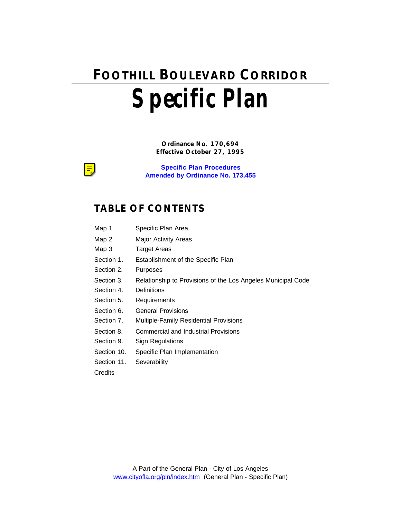# **FOOTHILL BOULEVARD CORRIDOR Specific Plan**

**Ordinance No. 170,694 Effective October 27, 1995**

**Specific Plan Procedures Amended by Ordinance No. 173,455**

### **TABLE OF CONTENTS**

- Map 1 Specific Plan Area
- Map 2 Major Activity Areas
- Map 3 Target Areas
- Section 1. Establishment of the Specific Plan
- Section 2. Purposes
- Section 3. Relationship to Provisions of the Los Angeles Municipal Code
- Section 4. Definitions
- Section 5. Requirements
- Section 6. General Provisions
- Section 7. Multiple-Family Residential Provisions
- Section 8. Commercial and Industrial Provisions
- Section 9. Sign Regulations
- Section 10. Specific Plan Implementation
- Section 11. Severability

**Credits** 

¦≡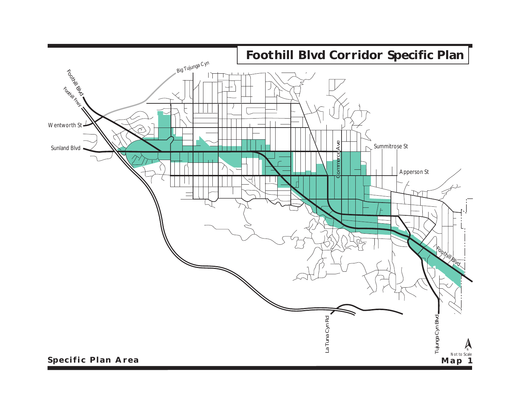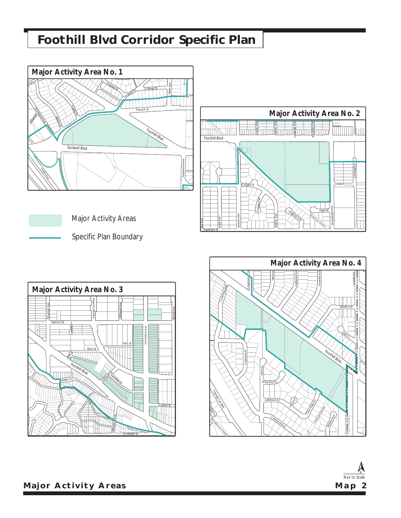# **Foothill Blvd Corridor Specific Plan**



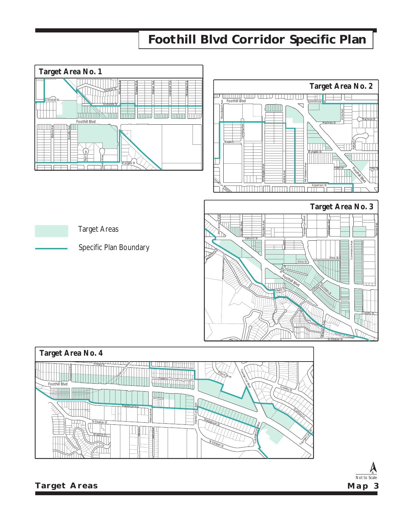# **Foothill Blvd Corridor Specific Plan**





Not to Scale  $\mathbb A$ **Map 3**

**Target Areas**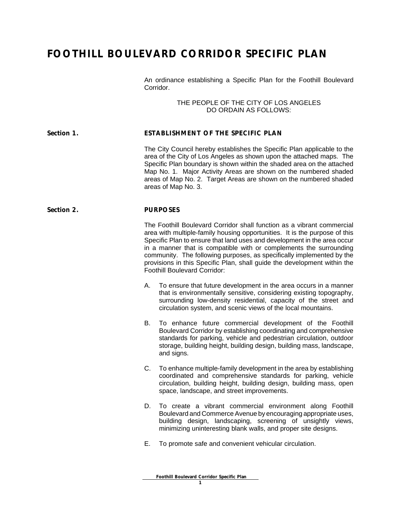## **FOOTHILL BOULEVARD CORRIDOR SPECIFIC PLAN**

An ordinance establishing a Specific Plan for the Foothill Boulevard Corridor.

> THE PEOPLE OF THE CITY OF LOS ANGELES DO ORDAIN AS FOLLOWS:

#### **Section 1. ESTABLISHMENT OF THE SPECIFIC PLAN**

The City Council hereby establishes the Specific Plan applicable to the area of the City of Los Angeles as shown upon the attached maps. The Specific Plan boundary is shown within the shaded area on the attached Map No. 1. Major Activity Areas are shown on the numbered shaded areas of Map No. 2. Target Areas are shown on the numbered shaded areas of Map No. 3.

#### **Section 2. PURPOSES**

The Foothill Boulevard Corridor shall function as a vibrant commercial area with multiple-family housing opportunities. It is the purpose of this Specific Plan to ensure that land uses and development in the area occur in a manner that is compatible with or complements the surrounding community. The following purposes, as specifically implemented by the provisions in this Specific Plan, shall guide the development within the Foothill Boulevard Corridor:

- A. To ensure that future development in the area occurs in a manner that is environmentally sensitive, considering existing topography, surrounding low-density residential, capacity of the street and circulation system, and scenic views of the local mountains.
- B. To enhance future commercial development of the Foothill Boulevard Corridor by establishing coordinating and comprehensive standards for parking, vehicle and pedestrian circulation, outdoor storage, building height, building design, building mass, landscape, and signs.
- C. To enhance multiple-family development in the area by establishing coordinated and comprehensive standards for parking, vehicle circulation, building height, building design, building mass, open space, landscape, and street improvements.
- D. To create a vibrant commercial environment along Foothill Boulevard and Commerce Avenue by encouraging appropriate uses, building design, landscaping, screening of unsightly views, minimizing uninteresting blank walls, and proper site designs.
- E. To promote safe and convenient vehicular circulation.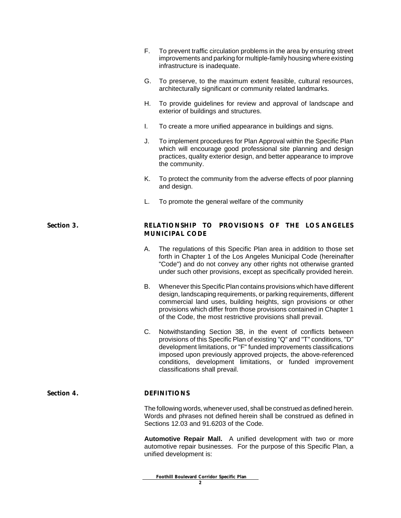|            | Е.                                                                     | To prevent traffic circulation problems in the area by ensuring street<br>improvements and parking for multiple-family housing where existing<br>infrastructure is inadequate.                                                                                                                                                                                                      |
|------------|------------------------------------------------------------------------|-------------------------------------------------------------------------------------------------------------------------------------------------------------------------------------------------------------------------------------------------------------------------------------------------------------------------------------------------------------------------------------|
|            | G.                                                                     | To preserve, to the maximum extent feasible, cultural resources,<br>architecturally significant or community related landmarks.                                                                                                                                                                                                                                                     |
|            | Η.                                                                     | To provide guidelines for review and approval of landscape and<br>exterior of buildings and structures.                                                                                                                                                                                                                                                                             |
|            | L.                                                                     | To create a more unified appearance in buildings and signs.                                                                                                                                                                                                                                                                                                                         |
|            | J.                                                                     | To implement procedures for Plan Approval within the Specific Plan<br>which will encourage good professional site planning and design<br>practices, quality exterior design, and better appearance to improve<br>the community.                                                                                                                                                     |
|            | Κ.                                                                     | To protect the community from the adverse effects of poor planning<br>and design.                                                                                                                                                                                                                                                                                                   |
|            | L.                                                                     | To promote the general welfare of the community                                                                                                                                                                                                                                                                                                                                     |
| Section 3. | RELATIONSHIP TO PROVISIONS OF THE LOS ANGELES<br><b>MUNICIPAL CODE</b> |                                                                                                                                                                                                                                                                                                                                                                                     |
|            | А.                                                                     | The regulations of this Specific Plan area in addition to those set<br>forth in Chapter 1 of the Los Angeles Municipal Code (hereinafter<br>"Code") and do not convey any other rights not otherwise granted<br>under such other provisions, except as specifically provided herein.                                                                                                |
|            | В.                                                                     | Whenever this Specific Plan contains provisions which have different<br>design, landscaping requirements, or parking requirements, different<br>commercial land uses, building heights, sign provisions or other<br>provisions which differ from those provisions contained in Chapter 1<br>of the Code, the most restrictive provisions shall prevail.                             |
|            | C.                                                                     | Notwithstanding Section 3B, in the event of conflicts between<br>provisions of this Specific Plan of existing "Q" and "T" conditions, "D"<br>development limitations, or "F" funded improvements classifications<br>imposed upon previously approved projects, the above-referenced<br>conditions, development limitations, or funded improvement<br>classifications shall prevail. |
| Section 4. | <b>DEFINITIONS</b>                                                     |                                                                                                                                                                                                                                                                                                                                                                                     |
|            |                                                                        | The following words, whenever used, shall be construed as defined herein.<br>Words and phrases not defined herein shall be construed as defined in<br>Sections 12.03 and 91.6203 of the Code.                                                                                                                                                                                       |
|            |                                                                        | Automotive Repair Mall. A unified development with two or more<br>automotive repair businesses. For the purpose of this Specific Plan, a<br>unified development is:                                                                                                                                                                                                                 |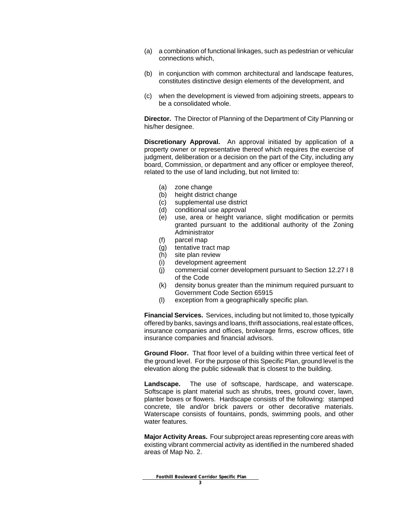- (a) a combination of functional linkages, such as pedestrian or vehicular connections which,
- (b) in conjunction with common architectural and landscape features, constitutes distinctive design elements of the development, and
- (c) when the development is viewed from adjoining streets, appears to be a consolidated whole.

**Director.** The Director of Planning of the Department of City Planning or his/her designee.

**Discretionary Approval.** An approval initiated by application of a property owner or representative thereof which requires the exercise of judgment, deliberation or a decision on the part of the City, including any board, Commission, or department and any officer or employee thereof, related to the use of land including, but not limited to:

- (a) zone change
- (b) height district change
- (c) supplemental use district
- (d) conditional use approval
- (e) use, area or height variance, slight modification or permits granted pursuant to the additional authority of the Zoning Administrator
- (f) parcel map
- (g) tentative tract map
- (h) site plan review
- (i) development agreement
- (j) commercial corner development pursuant to Section 12.27 I 8 of the Code
- (k) density bonus greater than the minimum required pursuant to Government Code Section 65915
- (l) exception from a geographically specific plan.

**Financial Services.** Services, including but not limited to, those typically offered by banks, savings and loans, thrift associations, real estate offices, insurance companies and offices, brokerage firms, escrow offices, title insurance companies and financial advisors.

**Ground Floor.** That floor level of a building within three vertical feet of the ground level. For the purpose of this Specific Plan, ground level is the elevation along the public sidewalk that is closest to the building.

**Landscape.** The use of softscape, hardscape, and waterscape. Softscape is plant material such as shrubs, trees, ground cover, lawn, planter boxes or flowers. Hardscape consists of the following: stamped concrete, tile and/or brick pavers or other decorative materials. Waterscape consists of fountains, ponds, swimming pools, and other water features.

**Major Activity Areas.** Four subproject areas representing core areas with existing vibrant commercial activity as identified in the numbered shaded areas of Map No. 2.

 **Foothill Boulevard Corridor Specific Plan**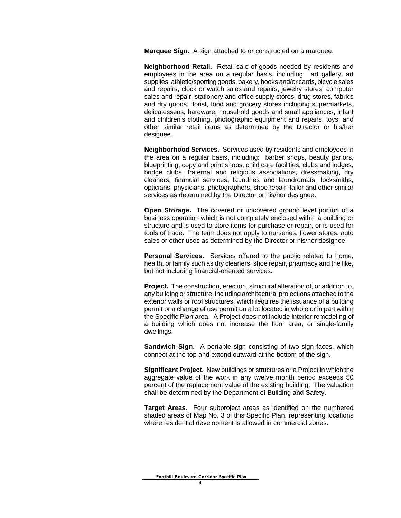**Marquee Sign.** A sign attached to or constructed on a marquee.

**Neighborhood Retail.** Retail sale of goods needed by residents and employees in the area on a regular basis, including: art gallery, art supplies, athletic/sporting goods, bakery, books and/or cards, bicycle sales and repairs, clock or watch sales and repairs, jewelry stores, computer sales and repair, stationery and office supply stores, drug stores, fabrics and dry goods, florist, food and grocery stores including supermarkets, delicatessens, hardware, household goods and small appliances, infant and children's clothing, photographic equipment and repairs, toys, and other similar retail items as determined by the Director or his/her designee.

**Neighborhood Services.** Services used by residents and employees in the area on a regular basis, including: barber shops, beauty parlors, blueprinting, copy and print shops, child care facilities, clubs and lodges, bridge clubs, fraternal and religious associations, dressmaking, dry cleaners, financial services, laundries and laundromats, locksmiths, opticians, physicians, photographers, shoe repair, tailor and other similar services as determined by the Director or his/her designee.

**Open Storage.** The covered or uncovered ground level portion of a business operation which is not completely enclosed within a building or structure and is used to store items for purchase or repair, or is used for tools of trade. The term does not apply to nurseries, flower stores, auto sales or other uses as determined by the Director or his/her designee.

**Personal Services.** Services offered to the public related to home, health, or family such as dry cleaners, shoe repair, pharmacy and the like, but not including financial-oriented services.

**Project.** The construction, erection, structural alteration of, or addition to, any building or structure, including architectural projections attached to the exterior walls or roof structures, which requires the issuance of a building permit or a change of use permit on a lot located in whole or in part within the Specific Plan area. A Project does not include interior remodeling of a building which does not increase the floor area, or single-family dwellings.

**Sandwich Sign.** A portable sign consisting of two sign faces, which connect at the top and extend outward at the bottom of the sign.

**Significant Project.** New buildings or structures or a Project in which the aggregate value of the work in any twelve month period exceeds 50 percent of the replacement value of the existing building. The valuation shall be determined by the Department of Building and Safety.

**Target Areas.** Four subproject areas as identified on the numbered shaded areas of Map No. 3 of this Specific Plan, representing locations where residential development is allowed in commercial zones.

 **Foothill Boulevard Corridor Specific Plan**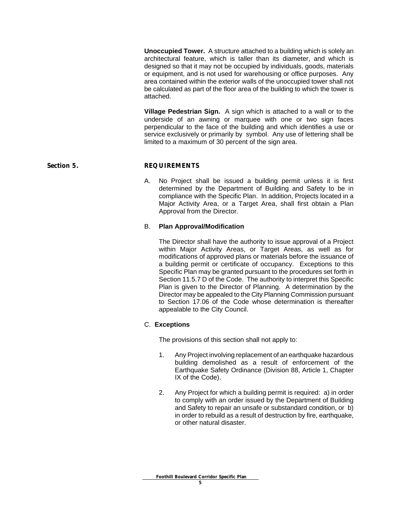**Unoccupied Tower.** A structure attached to a building which is solely an architectural feature, which is taller than its diameter, and which is designed so that it may not be occupied by individuals, goods, materials or equipment, and is not used for warehousing or office purposes. Any area contained within the exterior walls of the unoccupied tower shall not be calculated as part of the floor area of the building to which the tower is attached.

**Village Pedestrian Sign.** A sign which is attached to a wall or to the underside of an awning or marquee with one or two sign faces perpendicular to the face of the building and which identifies a use or service exclusively or primarily by symbol. Any use of lettering shall be limited to a maximum of 30 percent of the sign area.

#### Section 5. **REQUIREMENTS**

A. No Project shall be issued a building permit unless it is first determined by the Department of Building and Safety to be in compliance with the Specific Plan. In addition, Projects located in a Major Activity Area, or a Target Area, shall first obtain a Plan Approval from the Director.

#### B. **Plan Approval/Modification**

The Director shall have the authority to issue approval of a Project within Major Activity Areas, or Target Areas, as well as for modifications of approved plans or materials before the issuance of a building permit or certificate of occupancy. Exceptions to this Specific Plan may be granted pursuant to the procedures set forth in Section 11.5.7 D of the Code. The authority to interpret this Specific Plan is given to the Director of Planning. A determination by the Director may be appealed to the City Planning Commission pursuant to Section 17.06 of the Code whose determination is thereafter appealable to the City Council.

#### C. **Exceptions**

The provisions of this section shall not apply to:

- 1. Any Project involving replacement of an earthquake hazardous building demolished as a result of enforcement of the Earthquake Safety Ordinance (Division 88, Article 1, Chapter IX of the Code).
- 2. Any Project for which a building permit is required: a) in order to comply with an order issued by the Department of Building and Safety to repair an unsafe or substandard condition, or b) in order to rebuild as a result of destruction by fire, earthquake, or other natural disaster.

#### **Foothill Boulevard Corridor Specific Plan**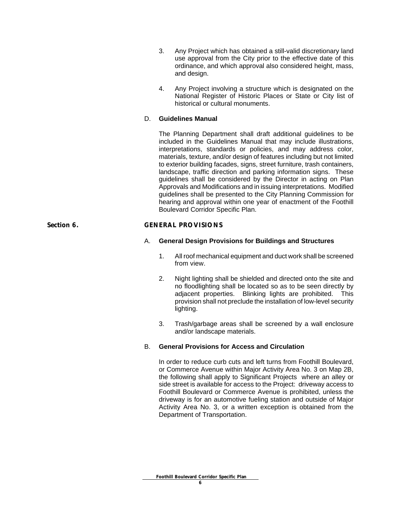- 3. Any Project which has obtained a still-valid discretionary land use approval from the City prior to the effective date of this ordinance, and which approval also considered height, mass, and design.
- 4. Any Project involving a structure which is designated on the National Register of Historic Places or State or City list of historical or cultural monuments.

#### D. **Guidelines Manual**

The Planning Department shall draft additional guidelines to be included in the Guidelines Manual that may include illustrations, interpretations, standards or policies, and may address color, materials, texture, and/or design of features including but not limited to exterior building facades, signs, street furniture, trash containers, landscape, traffic direction and parking information signs. These guidelines shall be considered by the Director in acting on Plan Approvals and Modifications and in issuing interpretations. Modified guidelines shall be presented to the City Planning Commission for hearing and approval within one year of enactment of the Foothill Boulevard Corridor Specific Plan.

#### **Section 6. GENERAL PROVISIONS**

#### A. **General Design Provisions for Buildings and Structures**

- 1. All roof mechanical equipment and duct work shall be screened from view.
- 2. Night lighting shall be shielded and directed onto the site and no floodlighting shall be located so as to be seen directly by adjacent properties. Blinking lights are prohibited. This provision shall not preclude the installation of low-level security lighting.
- 3. Trash/garbage areas shall be screened by a wall enclosure and/or landscape materials.

#### B. **General Provisions for Access and Circulation**

In order to reduce curb cuts and left turns from Foothill Boulevard, or Commerce Avenue within Major Activity Area No. 3 on Map 2B, the following shall apply to Significant Projects where an alley or side street is available for access to the Project: driveway access to Foothill Boulevard or Commerce Avenue is prohibited, unless the driveway is for an automotive fueling station and outside of Major Activity Area No. 3, or a written exception is obtained from the Department of Transportation.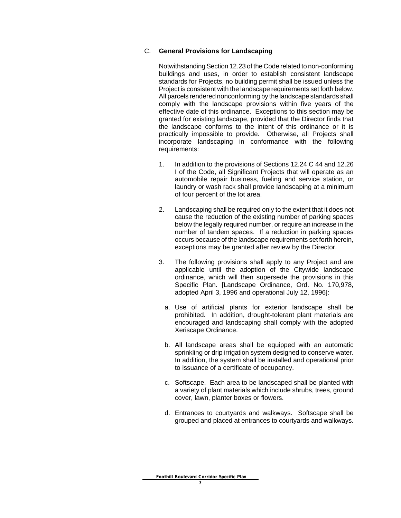#### C. **General Provisions for Landscaping**

Notwithstanding Section 12.23 of the Code related to non-conforming buildings and uses, in order to establish consistent landscape standards for Projects, no building permit shall be issued unless the Project is consistent with the landscape requirements set forth below. All parcels rendered nonconforming by the landscape standards shall comply with the landscape provisions within five years of the effective date of this ordinance. Exceptions to this section may be granted for existing landscape, provided that the Director finds that the landscape conforms to the intent of this ordinance or it is practically impossible to provide. Otherwise, all Projects shall incorporate landscaping in conformance with the following requirements:

- 1. In addition to the provisions of Sections 12.24 C 44 and 12.26 I of the Code, all Significant Projects that will operate as an automobile repair business, fueling and service station, or laundry or wash rack shall provide landscaping at a minimum of four percent of the lot area.
- 2. Landscaping shall be required only to the extent that it does not cause the reduction of the existing number of parking spaces below the legally required number, or require an increase in the number of tandem spaces. If a reduction in parking spaces occurs because of the landscape requirements set forth herein, exceptions may be granted after review by the Director.
- 3. The following provisions shall apply to any Project and are applicable until the adoption of the Citywide landscape ordinance, which will then supersede the provisions in this Specific Plan. [Landscape Ordinance, Ord. No. 170,978, adopted April 3, 1996 and operational July 12, 1996]:
	- a. Use of artificial plants for exterior landscape shall be prohibited. In addition, drought-tolerant plant materials are encouraged and landscaping shall comply with the adopted Xeriscape Ordinance.
	- b. All landscape areas shall be equipped with an automatic sprinkling or drip irrigation system designed to conserve water. In addition, the system shall be installed and operational prior to issuance of a certificate of occupancy.
	- c. Softscape. Each area to be landscaped shall be planted with a variety of plant materials which include shrubs, trees, ground cover, lawn, planter boxes or flowers.
	- d. Entrances to courtyards and walkways. Softscape shall be grouped and placed at entrances to courtyards and walkways.

 **Foothill Boulevard Corridor Specific Plan**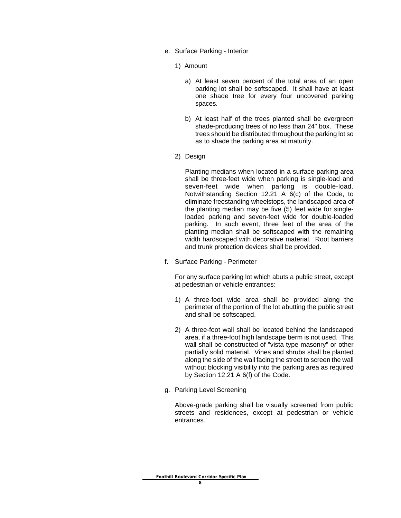- e. Surface Parking Interior
	- 1) Amount
		- a) At least seven percent of the total area of an open parking lot shall be softscaped. It shall have at least one shade tree for every four uncovered parking spaces.
		- b) At least half of the trees planted shall be evergreen shade-producing trees of no less than 24" box. These trees should be distributed throughout the parking lot so as to shade the parking area at maturity.
	- 2) Design

Planting medians when located in a surface parking area shall be three-feet wide when parking is single-load and seven-feet wide when parking is double-load. Notwithstanding Section 12.21 A 6(c) of the Code, to eliminate freestanding wheelstops, the landscaped area of the planting median may be five (5) feet wide for singleloaded parking and seven-feet wide for double-loaded parking. In such event, three feet of the area of the planting median shall be softscaped with the remaining width hardscaped with decorative material. Root barriers and trunk protection devices shall be provided.

f. Surface Parking - Perimeter

For any surface parking lot which abuts a public street, except at pedestrian or vehicle entrances:

- 1) A three-foot wide area shall be provided along the perimeter of the portion of the lot abutting the public street and shall be softscaped.
- 2) A three-foot wall shall be located behind the landscaped area, if a three-foot high landscape berm is not used. This wall shall be constructed of "vista type masonry" or other partially solid material. Vines and shrubs shall be planted along the side of the wall facing the street to screen the wall without blocking visibility into the parking area as required by Section 12.21 A 6(f) of the Code.
- g. Parking Level Screening

Above-grade parking shall be visually screened from public streets and residences, except at pedestrian or vehicle entrances.

**Foothill Boulevard Corridor Specific Plan**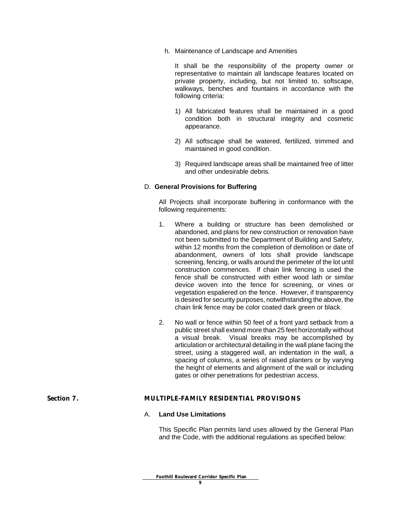h. Maintenance of Landscape and Amenities

It shall be the responsibility of the property owner or representative to maintain all landscape features located on private property, including, but not limited to, softscape, walkways, benches and fountains in accordance with the following criteria:

- 1) All fabricated features shall be maintained in a good condition both in structural integrity and cosmetic appearance.
- 2) All softscape shall be watered, fertilized, trimmed and maintained in good condition.
- 3) Required landscape areas shall be maintained free of litter and other undesirable debris.

#### D. **General Provisions for Buffering**

All Projects shall incorporate buffering in conformance with the following requirements:

- 1. Where a building or structure has been demolished or abandoned, and plans for new construction or renovation have not been submitted to the Department of Building and Safety, within 12 months from the completion of demolition or date of abandonment, owners of lots shall provide landscape screening, fencing, or walls around the perimeter of the lot until construction commences. If chain link fencing is used the fence shall be constructed with either wood lath or similar device woven into the fence for screening, or vines or vegetation espaliered on the fence. However, if transparency is desired for security purposes, notwithstanding the above, the chain link fence may be color coated dark green or black.
- 2. No wall or fence within 50 feet of a front yard setback from a public street shall extend more than 25 feet horizontally without a visual break. Visual breaks may be accomplished by articulation or architectural detailing in the wall plane facing the street, using a staggered wall, an indentation in the wall, a spacing of columns, a series of raised planters or by varying the height of elements and alignment of the wall or including gates or other penetrations for pedestrian access.

#### **Section 7. MULTIPLE-FAMILY RESIDENTIAL PROVISIONS**

#### A. **Land Use Limitations**

This Specific Plan permits land uses allowed by the General Plan and the Code, with the additional regulations as specified below: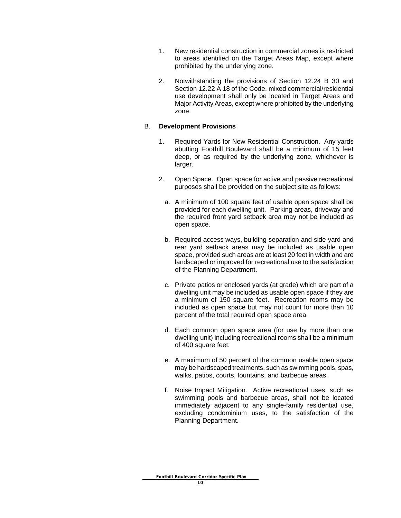- 1. New residential construction in commercial zones is restricted to areas identified on the Target Areas Map, except where prohibited by the underlying zone.
- 2. Notwithstanding the provisions of Section 12.24 B 30 and Section 12.22 A 18 of the Code, mixed commercial/residential use development shall only be located in Target Areas and Major Activity Areas, except where prohibited by the underlying zone.

#### B. **Development Provisions**

- 1. Required Yards for New Residential Construction. Any yards abutting Foothill Boulevard shall be a minimum of 15 feet deep, or as required by the underlying zone, whichever is larger.
- 2. Open Space. Open space for active and passive recreational purposes shall be provided on the subject site as follows:
	- a. A minimum of 100 square feet of usable open space shall be provided for each dwelling unit. Parking areas, driveway and the required front yard setback area may not be included as open space.
	- b. Required access ways, building separation and side yard and rear yard setback areas may be included as usable open space, provided such areas are at least 20 feet in width and are landscaped or improved for recreational use to the satisfaction of the Planning Department.
	- c. Private patios or enclosed yards (at grade) which are part of a dwelling unit may be included as usable open space if they are a minimum of 150 square feet. Recreation rooms may be included as open space but may not count for more than 10 percent of the total required open space area.
	- d. Each common open space area (for use by more than one dwelling unit) including recreational rooms shall be a minimum of 400 square feet.
	- e. A maximum of 50 percent of the common usable open space may be hardscaped treatments, such as swimming pools, spas, walks, patios, courts, fountains, and barbecue areas.
	- f. Noise Impact Mitigation. Active recreational uses, such as swimming pools and barbecue areas, shall not be located immediately adjacent to any single-family residential use, excluding condominium uses, to the satisfaction of the Planning Department.

 **Foothill Boulevard Corridor Specific Plan**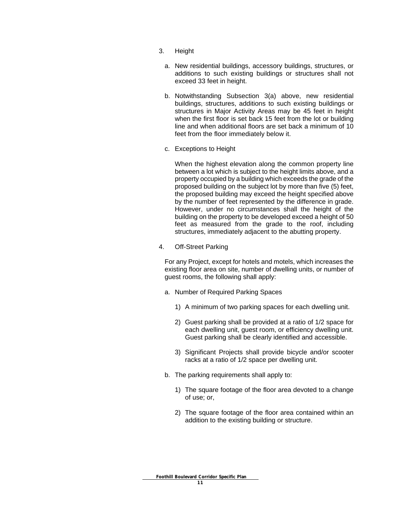- 3. Height
	- a. New residential buildings, accessory buildings, structures, or additions to such existing buildings or structures shall not exceed 33 feet in height.
	- b. Notwithstanding Subsection 3(a) above, new residential buildings, structures, additions to such existing buildings or structures in Major Activity Areas may be 45 feet in height when the first floor is set back 15 feet from the lot or building line and when additional floors are set back a minimum of 10 feet from the floor immediately below it.
	- c. Exceptions to Height

When the highest elevation along the common property line between a lot which is subject to the height limits above, and a property occupied by a building which exceeds the grade of the proposed building on the subject lot by more than five (5) feet, the proposed building may exceed the height specified above by the number of feet represented by the difference in grade. However, under no circumstances shall the height of the building on the property to be developed exceed a height of 50 feet as measured from the grade to the roof, including structures, immediately adjacent to the abutting property.

4. Off-Street Parking

For any Project, except for hotels and motels, which increases the existing floor area on site, number of dwelling units, or number of guest rooms, the following shall apply:

- a. Number of Required Parking Spaces
	- 1) A minimum of two parking spaces for each dwelling unit.
	- 2) Guest parking shall be provided at a ratio of 1/2 space for each dwelling unit, guest room, or efficiency dwelling unit. Guest parking shall be clearly identified and accessible.
	- 3) Significant Projects shall provide bicycle and/or scooter racks at a ratio of 1/2 space per dwelling unit.
- b. The parking requirements shall apply to:
	- 1) The square footage of the floor area devoted to a change of use; or,
	- 2) The square footage of the floor area contained within an addition to the existing building or structure.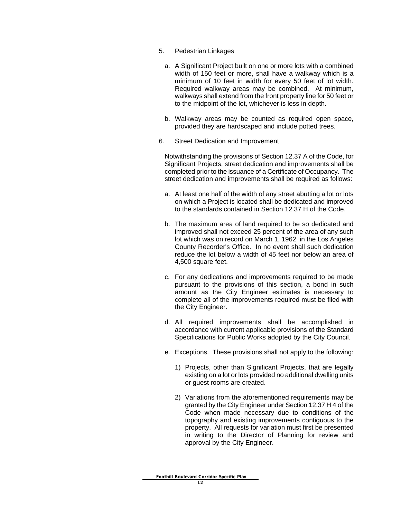- 5. Pedestrian Linkages
	- a. A Significant Project built on one or more lots with a combined width of 150 feet or more, shall have a walkway which is a minimum of 10 feet in width for every 50 feet of lot width. Required walkway areas may be combined. At minimum, walkways shall extend from the front property line for 50 feet or to the midpoint of the lot, whichever is less in depth.
	- b. Walkway areas may be counted as required open space, provided they are hardscaped and include potted trees.
- 6. Street Dedication and Improvement

Notwithstanding the provisions of Section 12.37 A of the Code, for Significant Projects, street dedication and improvements shall be completed prior to the issuance of a Certificate of Occupancy. The street dedication and improvements shall be required as follows:

- a. At least one half of the width of any street abutting a lot or lots on which a Project is located shall be dedicated and improved to the standards contained in Section 12.37 H of the Code.
- b. The maximum area of land required to be so dedicated and improved shall not exceed 25 percent of the area of any such lot which was on record on March 1, 1962, in the Los Angeles County Recorder's Office. In no event shall such dedication reduce the lot below a width of 45 feet nor below an area of 4,500 square feet.
- c. For any dedications and improvements required to be made pursuant to the provisions of this section, a bond in such amount as the City Engineer estimates is necessary to complete all of the improvements required must be filed with the City Engineer.
- d. All required improvements shall be accomplished in accordance with current applicable provisions of the Standard Specifications for Public Works adopted by the City Council.
- e. Exceptions. These provisions shall not apply to the following:
	- 1) Projects, other than Significant Projects, that are legally existing on a lot or lots provided no additional dwelling units or guest rooms are created.
	- 2) Variations from the aforementioned requirements may be granted by the City Engineer under Section 12.37 H 4 of the Code when made necessary due to conditions of the topography and existing improvements contiguous to the property. All requests for variation must first be presented in writing to the Director of Planning for review and approval by the City Engineer.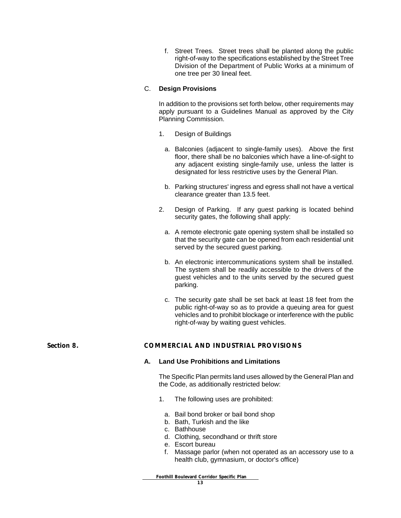f. Street Trees. Street trees shall be planted along the public right-of-way to the specifications established by the Street Tree Division of the Department of Public Works at a minimum of one tree per 30 lineal feet.

#### C. **Design Provisions**

In addition to the provisions set forth below, other requirements may apply pursuant to a Guidelines Manual as approved by the City Planning Commission.

- 1. Design of Buildings
	- a. Balconies (adjacent to single-family uses). Above the first floor, there shall be no balconies which have a line-of-sight to any adjacent existing single-family use, unless the latter is designated for less restrictive uses by the General Plan.
	- b. Parking structures' ingress and egress shall not have a vertical clearance greater than 13.5 feet.
- 2. Design of Parking. If any guest parking is located behind security gates, the following shall apply:
	- a. A remote electronic gate opening system shall be installed so that the security gate can be opened from each residential unit served by the secured guest parking.
	- b. An electronic intercommunications system shall be installed. The system shall be readily accessible to the drivers of the guest vehicles and to the units served by the secured guest parking.
	- c. The security gate shall be set back at least 18 feet from the public right-of-way so as to provide a queuing area for guest vehicles and to prohibit blockage or interference with the public right-of-way by waiting guest vehicles.

#### **Section 8. COMMERCIAL AND INDUSTRIAL PROVISIONS**

#### **A. Land Use Prohibitions and Limitations**

The Specific Plan permits land uses allowed by the General Plan and the Code, as additionally restricted below:

- 1. The following uses are prohibited:
- a. Bail bond broker or bail bond shop
- b. Bath, Turkish and the like
- c. Bathhouse
- d. Clothing, secondhand or thrift store
- e. Escort bureau
- f. Massage parlor (when not operated as an accessory use to a health club, gymnasium, or doctor's office)

 **Foothill Boulevard Corridor Specific Plan**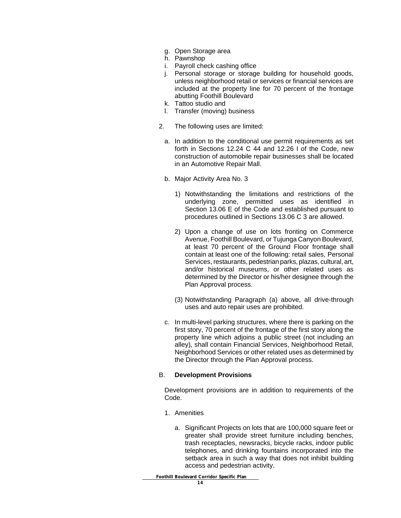- g. Open Storage area
- h. Pawnshop
- i. Payroll check cashing office
- j. Personal storage or storage building for household goods, unless neighborhood retail or services or financial services are included at the property line for 70 percent of the frontage abutting Foothill Boulevard
- k. Tattoo studio and
- l. Transfer (moving) business
- 2. The following uses are limited:
	- a. In addition to the conditional use permit requirements as set forth in Sections 12.24 C 44 and 12.26 I of the Code, new construction of automobile repair businesses shall be located in an Automotive Repair Mall.
	- b. Major Activity Area No. 3
		- 1) Notwithstanding the limitations and restrictions of the underlying zone, permitted uses as identified in Section 13.06 E of the Code and established pursuant to procedures outlined in Sections 13.06 C 3 are allowed.
		- 2) Upon a change of use on lots fronting on Commerce Avenue, Foothill Boulevard, or Tujunga Canyon Boulevard, at least 70 percent of the Ground Floor frontage shall contain at least one of the following: retail sales, Personal Services, restaurants, pedestrian parks, plazas, cultural, art, and/or historical museums, or other related uses as determined by the Director or his/her designee through the Plan Approval process.
		- (3) Notwithstanding Paragraph (a) above, all drive-through uses and auto repair uses are prohibited.
	- c. In multi-level parking structures, where there is parking on the first story, 70 percent of the frontage of the first story along the property line which adjoins a public street (not including an alley), shall contain Financial Services, Neighborhood Retail, Neighborhood Services or other related uses as determined by the Director through the Plan Approval process.

#### B. **Development Provisions**

Development provisions are in addition to requirements of the Code.

- 1. Amenities
	- a. Significant Projects on lots that are 100,000 square feet or greater shall provide street furniture including benches, trash receptacles, newsracks, bicycle racks, indoor public telephones, and drinking fountains incorporated into the setback area in such a way that does not inhibit building access and pedestrian activity.

 **Foothill Boulevard Corridor Specific Plan**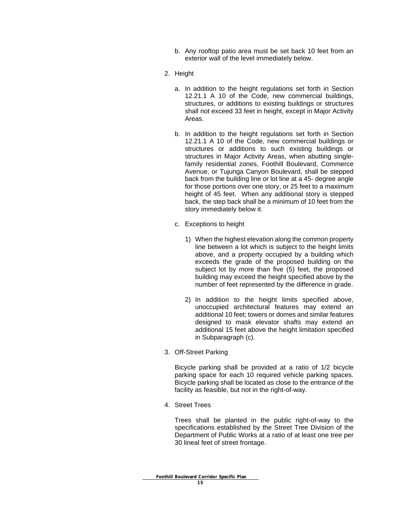- b. Any rooftop patio area must be set back 10 feet from an exterior wall of the level immediately below.
- 2. Height
	- a. In addition to the height regulations set forth in Section 12.21.1 A 10 of the Code, new commercial buildings, structures, or additions to existing buildings or structures shall not exceed 33 feet in height, except in Major Activity Areas.
	- b. In addition to the height regulations set forth in Section 12.21.1 A 10 of the Code, new commercial buildings or structures or additions to such existing buildings or structures in Major Activity Areas, when abutting singlefamily residential zones, Foothill Boulevard, Commerce Avenue, or Tujunga Canyon Boulevard, shall be stepped back from the building line or lot line at a 45- degree angle for those portions over one story, or 25 feet to a maximum height of 45 feet. When any additional story is stepped back, the step back shall be a minimum of 10 feet from the story immediately below it.
	- c. Exceptions to height
		- 1) When the highest elevation along the common property line between a lot which is subject to the height limits above, and a property occupied by a building which exceeds the grade of the proposed building on the subject lot by more than five (5) feet, the proposed building may exceed the height specified above by the number of feet represented by the difference in grade.
		- 2) In addition to the height limits specified above, unoccupied architectural features may extend an additional 10 feet; towers or domes and similar features designed to mask elevator shafts may extend an additional 15 feet above the height limitation specified in Subparagraph (c).
- 3. Off-Street Parking

Bicycle parking shall be provided at a ratio of 1/2 bicycle parking space for each 10 required vehicle parking spaces. Bicycle parking shall be located as close to the entrance of the facility as feasible, but not in the right-of-way.

4. Street Trees

Trees shall be planted in the public right-of-way to the specifications established by the Street Tree Division of the Department of Public Works at a ratio of at least one tree per 30 lineal feet of street frontage.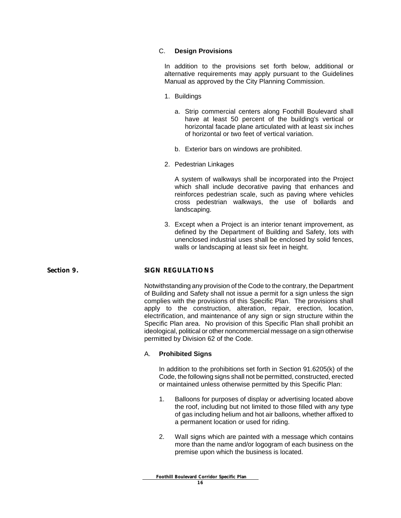#### C. **Design Provisions**

In addition to the provisions set forth below, additional or alternative requirements may apply pursuant to the Guidelines Manual as approved by the City Planning Commission.

- 1. Buildings
	- a. Strip commercial centers along Foothill Boulevard shall have at least 50 percent of the building's vertical or horizontal facade plane articulated with at least six inches of horizontal or two feet of vertical variation.
	- b. Exterior bars on windows are prohibited.
- 2. Pedestrian Linkages

A system of walkways shall be incorporated into the Project which shall include decorative paving that enhances and reinforces pedestrian scale, such as paving where vehicles cross pedestrian walkways, the use of bollards and landscaping.

3. Except when a Project is an interior tenant improvement, as defined by the Department of Building and Safety, lots with unenclosed industrial uses shall be enclosed by solid fences, walls or landscaping at least six feet in height.

#### Section 9. SIGN REGULATIONS

Notwithstanding any provision of the Code to the contrary, the Department of Building and Safety shall not issue a permit for a sign unless the sign complies with the provisions of this Specific Plan. The provisions shall apply to the construction, alteration, repair, erection, location, electrification, and maintenance of any sign or sign structure within the Specific Plan area. No provision of this Specific Plan shall prohibit an ideological, political or other noncommercial message on a sign otherwise permitted by Division 62 of the Code.

#### A. **Prohibited Signs**

In addition to the prohibitions set forth in Section 91.6205(k) of the Code, the following signs shall not be permitted, constructed, erected or maintained unless otherwise permitted by this Specific Plan:

- 1. Balloons for purposes of display or advertising located above the roof, including but not limited to those filled with any type of gas including helium and hot air balloons, whether affixed to a permanent location or used for riding.
- 2. Wall signs which are painted with a message which contains more than the name and/or logogram of each business on the premise upon which the business is located.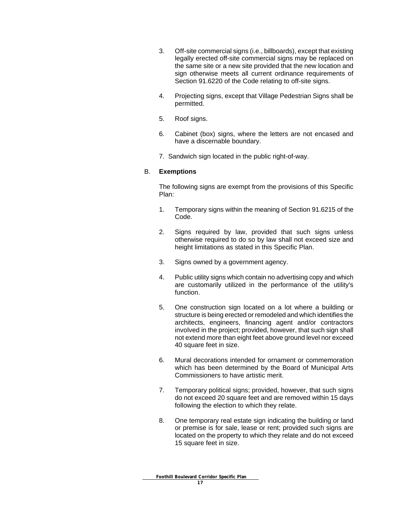- 3. Off-site commercial signs (i.e., billboards), except that existing legally erected off-site commercial signs may be replaced on the same site or a new site provided that the new location and sign otherwise meets all current ordinance requirements of Section 91.6220 of the Code relating to off-site signs.
- 4. Projecting signs, except that Village Pedestrian Signs shall be permitted.
- 5. Roof signs.
- 6. Cabinet (box) signs, where the letters are not encased and have a discernable boundary.
- 7. Sandwich sign located in the public right-of-way.

#### B. **Exemptions**

The following signs are exempt from the provisions of this Specific Plan:

- 1. Temporary signs within the meaning of Section 91.6215 of the Code.
- 2. Signs required by law, provided that such signs unless otherwise required to do so by law shall not exceed size and height limitations as stated in this Specific Plan.
- 3. Signs owned by a government agency.
- 4. Public utility signs which contain no advertising copy and which are customarily utilized in the performance of the utility's function.
- 5. One construction sign located on a lot where a building or structure is being erected or remodeled and which identifies the architects, engineers, financing agent and/or contractors involved in the project; provided, however, that such sign shall not extend more than eight feet above ground level nor exceed 40 square feet in size.
- 6. Mural decorations intended for ornament or commemoration which has been determined by the Board of Municipal Arts Commissioners to have artistic merit.
- 7. Temporary political signs; provided, however, that such signs do not exceed 20 square feet and are removed within 15 days following the election to which they relate.
- 8. One temporary real estate sign indicating the building or land or premise is for sale, lease or rent; provided such signs are located on the property to which they relate and do not exceed 15 square feet in size.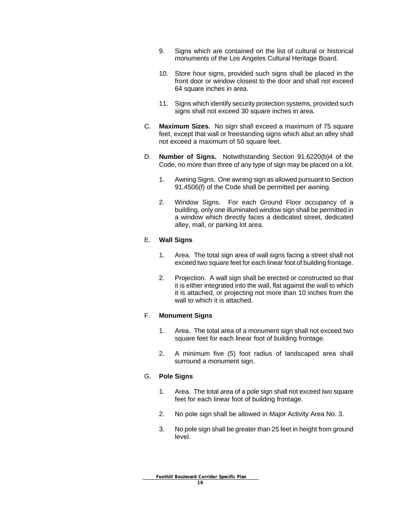- 9. Signs which are contained on the list of cultural or historical monuments of the Los Angeles Cultural Heritage Board.
- 10. Store hour signs, provided such signs shall be placed in the front door or window closest to the door and shall not exceed 64 square inches in area.
- 11. Signs which identify security protection systems, provided such signs shall not exceed 30 square inches in area.
- C. **Maximum Sizes.** No sign shall exceed a maximum of 75 square feet, except that wall or freestanding signs which abut an alley shall not exceed a maximum of 50 square feet.
- D. **Number of Signs.** Notwithstanding Section 91.6220(b)4 of the Code, no more than three of any type of sign may be placed on a lot.
	- 1. Awning Signs. One awning sign as allowed pursuant to Section 91.4506(f) of the Code shall be permitted per awning.
	- 2. Window Signs. For each Ground Floor occupancy of a building, only one illuminated window sign shall be permitted in a window which directly faces a dedicated street, dedicated alley, mall, or parking lot area.

#### E. **Wall Signs**

- 1. Area. The total sign area of wall signs facing a street shall not exceed two square feet for each linear foot of building frontage.
- 2. Projection. A wall sign shall be erected or constructed so that it is either integrated into the wall, flat against the wall to which it is attached, or projecting not more than 10 inches from the wall to which it is attached.

#### F. **Monument Signs**

- 1. Area. The total area of a monument sign shall not exceed two square feet for each linear foot of building frontage.
- 2. A minimum five (5) foot radius of landscaped area shall surround a monument sign.

#### G. **Pole Signs**

- 1. Area. The total area of a pole sign shall not exceed two square feet for each linear foot of building frontage.
- 2. No pole sign shall be allowed in Major Activity Area No. 3.
- 3. No pole sign shall be greater than 25 feet in height from ground level.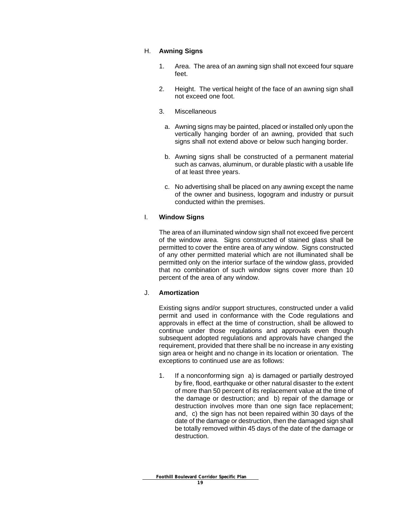#### H. **Awning Signs**

- 1. Area. The area of an awning sign shall not exceed four square feet.
- 2. Height. The vertical height of the face of an awning sign shall not exceed one foot.
- 3. Miscellaneous
	- a. Awning signs may be painted, placed or installed only upon the vertically hanging border of an awning, provided that such signs shall not extend above or below such hanging border.
	- b. Awning signs shall be constructed of a permanent material such as canvas, aluminum, or durable plastic with a usable life of at least three years.
	- c. No advertising shall be placed on any awning except the name of the owner and business, logogram and industry or pursuit conducted within the premises.

#### I. **Window Signs**

The area of an illuminated window sign shall not exceed five percent of the window area. Signs constructed of stained glass shall be permitted to cover the entire area of any window. Signs constructed of any other permitted material which are not illuminated shall be permitted only on the interior surface of the window glass, provided that no combination of such window signs cover more than 10 percent of the area of any window.

#### J. **Amortization**

Existing signs and/or support structures, constructed under a valid permit and used in conformance with the Code regulations and approvals in effect at the time of construction, shall be allowed to continue under those regulations and approvals even though subsequent adopted regulations and approvals have changed the requirement, provided that there shall be no increase in any existing sign area or height and no change in its location or orientation. The exceptions to continued use are as follows:

1. If a nonconforming sign a) is damaged or partially destroyed by fire, flood, earthquake or other natural disaster to the extent of more than 50 percent of its replacement value at the time of the damage or destruction; and b) repair of the damage or destruction involves more than one sign face replacement; and, c) the sign has not been repaired within 30 days of the date of the damage or destruction, then the damaged sign shall be totally removed within 45 days of the date of the damage or destruction.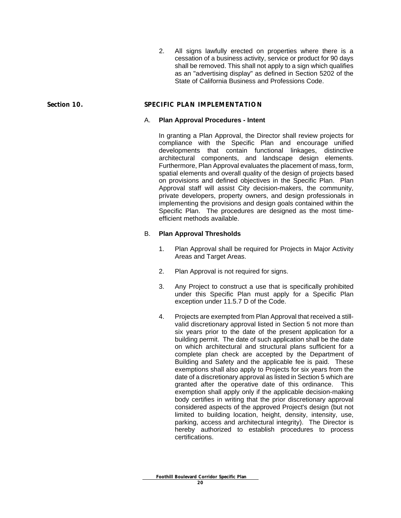2. All signs lawfully erected on properties where there is a cessation of a business activity, service or product for 90 days shall be removed. This shall not apply to a sign which qualifies as an "advertising display" as defined in Section 5202 of the State of California Business and Professions Code.

#### **Section 10. SPECIFIC PLAN IMPLEMENTATION**

#### A. **Plan Approval Procedures - Intent**

In granting a Plan Approval, the Director shall review projects for compliance with the Specific Plan and encourage unified developments that contain functional linkages, distinctive architectural components, and landscape design elements. Furthermore, Plan Approval evaluates the placement of mass, form, spatial elements and overall quality of the design of projects based on provisions and defined objectives in the Specific Plan. Plan Approval staff will assist City decision-makers, the community, private developers, property owners, and design professionals in implementing the provisions and design goals contained within the Specific Plan. The procedures are designed as the most timeefficient methods available.

#### B. **Plan Approval Thresholds**

- 1. Plan Approval shall be required for Projects in Major Activity Areas and Target Areas.
- 2. Plan Approval is not required for signs.
- 3. Any Project to construct a use that is specifically prohibited under this Specific Plan must apply for a Specific Plan exception under 11.5.7 D of the Code.
- 4. Projects are exempted from Plan Approval that received a stillvalid discretionary approval listed in Section 5 not more than six years prior to the date of the present application for a building permit. The date of such application shall be the date on which architectural and structural plans sufficient for a complete plan check are accepted by the Department of Building and Safety and the applicable fee is paid. These exemptions shall also apply to Projects for six years from the date of a discretionary approval as listed in Section 5 which are granted after the operative date of this ordinance. This exemption shall apply only if the applicable decision-making body certifies in writing that the prior discretionary approval considered aspects of the approved Project's design (but not limited to building location, height, density, intensity, use, parking, access and architectural integrity). The Director is hereby authorized to establish procedures to process certifications.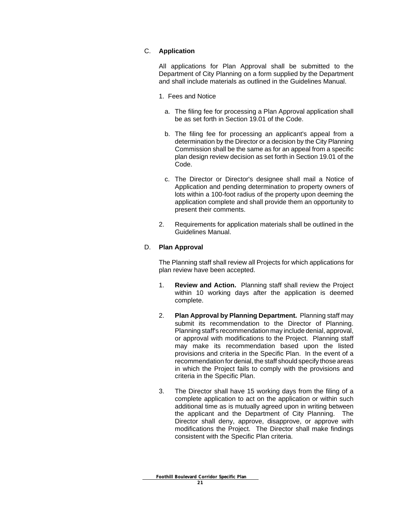#### C. **Application**

All applications for Plan Approval shall be submitted to the Department of City Planning on a form supplied by the Department and shall include materials as outlined in the Guidelines Manual.

- 1. Fees and Notice
	- a. The filing fee for processing a Plan Approval application shall be as set forth in Section 19.01 of the Code.
	- b. The filing fee for processing an applicant's appeal from a determination by the Director or a decision by the City Planning Commission shall be the same as for an appeal from a specific plan design review decision as set forth in Section 19.01 of the Code.
	- c. The Director or Director's designee shall mail a Notice of Application and pending determination to property owners of lots within a 100-foot radius of the property upon deeming the application complete and shall provide them an opportunity to present their comments.
- 2. Requirements for application materials shall be outlined in the Guidelines Manual.

#### D. **Plan Approval**

The Planning staff shall review all Projects for which applications for plan review have been accepted.

- 1. **Review and Action.** Planning staff shall review the Project within 10 working days after the application is deemed complete.
- 2. **Plan Approval by Planning Department.** Planning staff may submit its recommendation to the Director of Planning. Planning staff's recommendation may include denial, approval, or approval with modifications to the Project. Planning staff may make its recommendation based upon the listed provisions and criteria in the Specific Plan. In the event of a recommendation for denial, the staff should specify those areas in which the Project fails to comply with the provisions and criteria in the Specific Plan.
- 3. The Director shall have 15 working days from the filing of a complete application to act on the application or within such additional time as is mutually agreed upon in writing between the applicant and the Department of City Planning. The Director shall deny, approve, disapprove, or approve with modifications the Project. The Director shall make findings consistent with the Specific Plan criteria.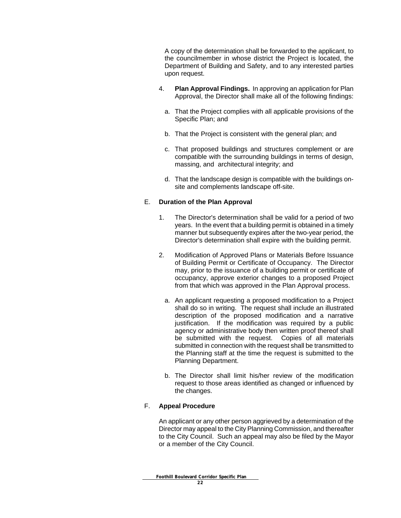A copy of the determination shall be forwarded to the applicant, to the councilmember in whose district the Project is located, the Department of Building and Safety, and to any interested parties upon request.

- 4. **Plan Approval Findings.** In approving an application for Plan Approval, the Director shall make all of the following findings:
	- a. That the Project complies with all applicable provisions of the Specific Plan; and
	- b. That the Project is consistent with the general plan; and
	- c. That proposed buildings and structures complement or are compatible with the surrounding buildings in terms of design, massing, and architectural integrity; and
	- d. That the landscape design is compatible with the buildings onsite and complements landscape off-site.

#### E. **Duration of the Plan Approval**

- 1. The Director's determination shall be valid for a period of two years. In the event that a building permit is obtained in a timely manner but subsequently expires after the two-year period, the Director's determination shall expire with the building permit.
- 2. Modification of Approved Plans or Materials Before Issuance of Building Permit or Certificate of Occupancy. The Director may, prior to the issuance of a building permit or certificate of occupancy, approve exterior changes to a proposed Project from that which was approved in the Plan Approval process.
	- a. An applicant requesting a proposed modification to a Project shall do so in writing. The request shall include an illustrated description of the proposed modification and a narrative justification. If the modification was required by a public agency or administrative body then written proof thereof shall be submitted with the request. Copies of all materials submitted in connection with the request shall be transmitted to the Planning staff at the time the request is submitted to the Planning Department.
	- b. The Director shall limit his/her review of the modification request to those areas identified as changed or influenced by the changes.

#### F. **Appeal Procedure**

An applicant or any other person aggrieved by a determination of the Director may appeal to the City Planning Commission, and thereafter to the City Council. Such an appeal may also be filed by the Mayor or a member of the City Council.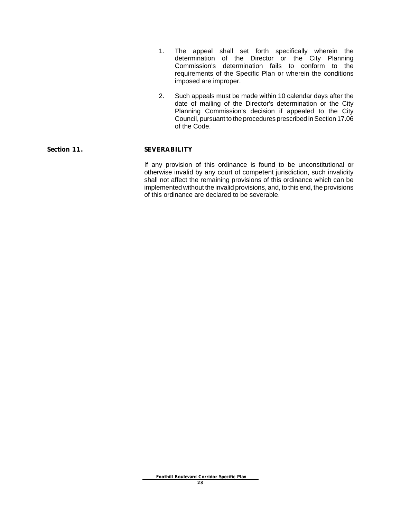- 1. The appeal shall set forth specifically wherein the determination of the Director or the City Planning Commission's determination fails to conform to the requirements of the Specific Plan or wherein the conditions imposed are improper.
- 2. Such appeals must be made within 10 calendar days after the date of mailing of the Director's determination or the City Planning Commission's decision if appealed to the City Council, pursuant to the procedures prescribed in Section 17.06 of the Code.

#### Section 11. SEVERABILITY

If any provision of this ordinance is found to be unconstitutional or otherwise invalid by any court of competent jurisdiction, such invalidity shall not affect the remaining provisions of this ordinance which can be implemented without the invalid provisions, and, to this end, the provisions of this ordinance are declared to be severable.